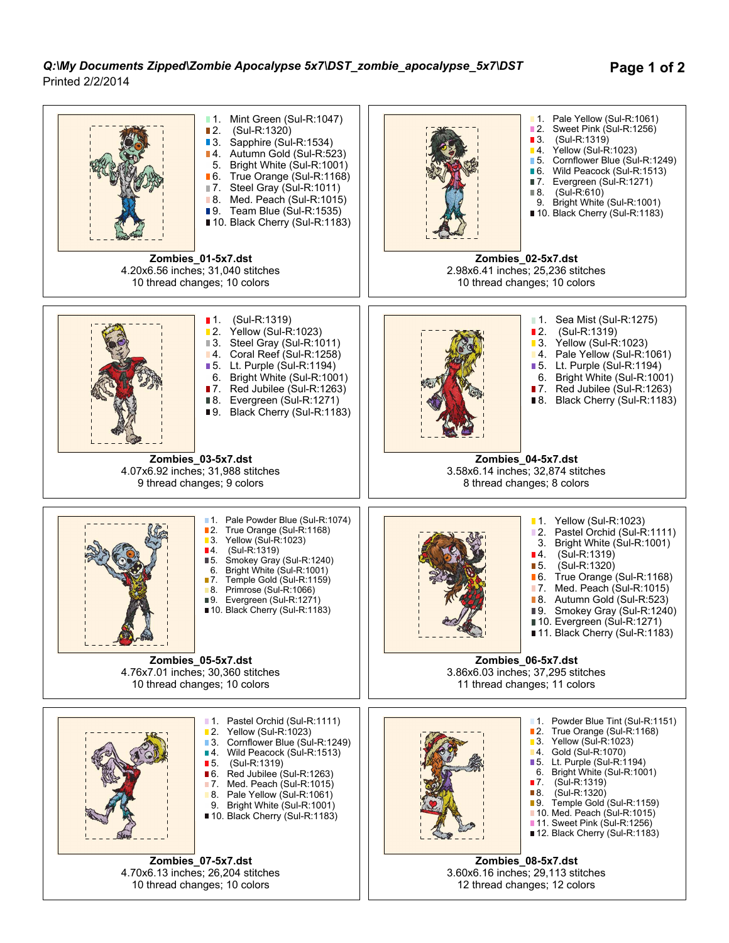